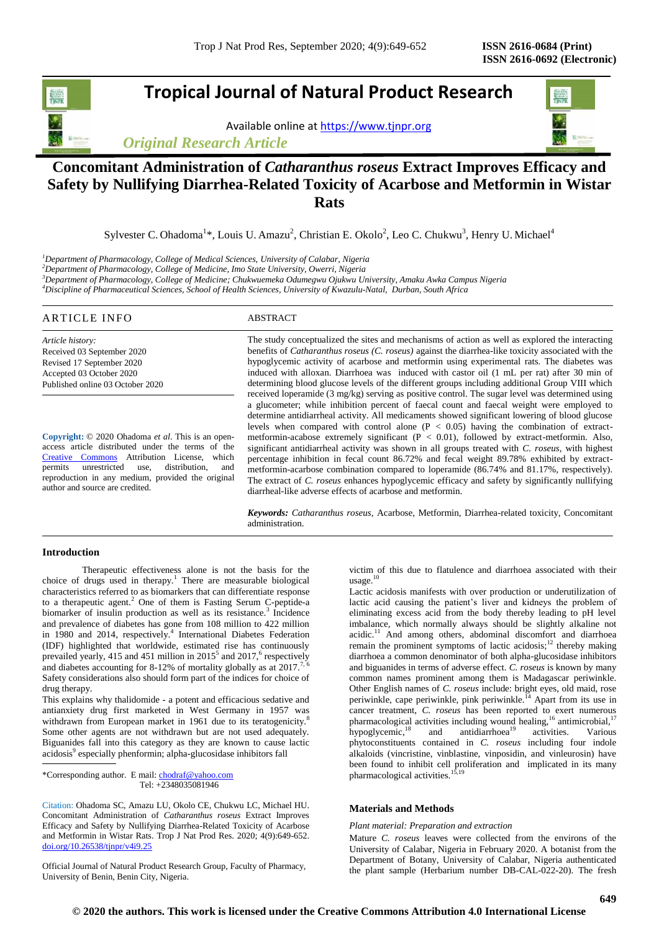# **Tropical Journal of Natural Product Research**

Available online a[t https://www.tjnpr.org](https://www.tjnpr.org/)

*Original Research Article*



Sylvester C. Ohadoma<sup>1\*</sup>, Louis U. Amazu<sup>2</sup>, Christian E. Okolo<sup>2</sup>, Leo C. Chukwu<sup>3</sup>, Henry U. Michael<sup>4</sup>

*<sup>1</sup>Department of Pharmacology, College of Medical Sciences, University of Calabar, Nigeria*

*<sup>2</sup>Department of Pharmacology, College of Medicine, Imo State University, Owerri, Nigeria*

*<sup>3</sup>Department of Pharmacology, College of Medicine; Chukwuemeka Odumegwu Ojukwu University, Amaku Awka Campus Nigeria*

*<sup>4</sup>Discipline of Pharmaceutical Sciences, School of Health Sciences, University of Kwazulu-Natal, Durban, South Africa*

| ARTICLE INFO                     | ABSTRACT                                                                                                           |
|----------------------------------|--------------------------------------------------------------------------------------------------------------------|
| Article history:                 | The study conceptualized the sites and mechanisms of action as well as explored the interacting                    |
| Received 03 September 2020       | benefits of <i>Catharanthus roseus</i> ( <i>C. roseus</i> ) against the diarrhea-like toxicity associated with the |
| Revised 17 September 2020        | hypoglycemic activity of acarbose and metformin using experimental rats. The diabetes was                          |
| Accepted 03 October 2020         | induced with alloxan. Diarrhoea was induced with castor oil (1 mL per rat) after 30 min of                         |
| Published online 03 October 2020 | determining blood glucose levels of the different groups including additional Group VIII which                     |
|                                  | received loperamide $(3 \text{ mg/kg})$ serving as positive control. The sugar level was determined using          |
|                                  | a glucometer; while inhibition percent of faecal count and faecal weight were employed to                          |
|                                  | determine application and activity. All medicaments showed significant lowering of blood glucose                   |

**Copyright:** © 2020 Ohadoma *et al*. This is an openaccess article distributed under the terms of the [Creative Commons](https://creativecommons.org/licenses/by/4.0/) Attribution License, which permits unrestricted use, distribution, and reproduction in any medium, provided the original author and source are credited.

determine antidiarrheal activity. All medicaments showed significant lowering of blood glucose levels when compared with control alone  $(P < 0.05)$  having the combination of extractmetformin-acabose extremely significant  $(P < 0.01)$ , followed by extract-metformin. Also, significant antidiarrheal activity was shown in all groups treated with *C. roseus*, with highest percentage inhibition in fecal count 86.72% and fecal weight 89.78% exhibited by extractmetformin-acarbose combination compared to loperamide (86.74% and 81.17%, respectively). The extract of *C. roseus* enhances hypoglycemic efficacy and safety by significantly nullifying diarrheal-like adverse effects of acarbose and metformin.

*Keywords: Catharanthus roseus,* Acarbose, Metformin, Diarrhea-related toxicity, Concomitant administration.

## **Introduction**

Therapeutic effectiveness alone is not the basis for the choice of drugs used in therapy.<sup>1</sup> There are measurable biological characteristics referred to as biomarkers that can differentiate response to a therapeutic agent.<sup>2</sup> One of them is Fasting Serum C-peptide-a biomarker of insulin production as well as its resistance.<sup>3</sup> Incidence and prevalence of diabetes has gone from 108 million to 422 million in 1980 and 2014, respectively.<sup>4</sup> International Diabetes Federation (IDF) highlighted that worldwide, estimated rise has continuously prevailed yearly, 415 and 451 million in 2015<sup>5</sup> and 2017,<sup>6</sup> respectively and diabetes accounting for 8-12% of mortality globally as at  $2017$ .<sup>7</sup> Safety considerations also should form part of the indices for choice of drug therapy.

This explains why thalidomide - a potent and efficacious sedative and antianxiety drug first marketed in West Germany in 1957 was withdrawn from European market in 1961 due to its teratogenicity.<sup>8</sup> Some other agents are not withdrawn but are not used adequately. Biguanides fall into this category as they are known to cause lactic acidosis<sup>9</sup> especially phenformin; alpha-glucosidase inhibitors fall

\*Corresponding author. E mail[: chodraf@yahoo.com](mailto:chodraf@yahoo.com) Tel: +2348035081946

Citation: Ohadoma SC, Amazu LU, Okolo CE, Chukwu LC, Michael HU. Concomitant Administration of *Catharanthus roseus* Extract Improves Efficacy and Safety by Nullifying Diarrhea-Related Toxicity of Acarbose and Metformin in Wistar Rats. Trop J Nat Prod Res. 2020; 4(9):649-652. [doi.org/10.26538/tjnpr/v4i9.2](http://www.doi.org/10.26538/tjnpr/v1i4.5)5

Official Journal of Natural Product Research Group, Faculty of Pharmacy, University of Benin, Benin City, Nigeria.

victim of this due to flatulence and diarrhoea associated with their usage. 10

Lactic acidosis manifests with over production or underutilization of lactic acid causing the patient's liver and kidneys the problem of eliminating excess acid from the body thereby leading to pH level imbalance, which normally always should be slightly alkaline not acidic.<sup>11</sup> And among others, abdominal discomfort and diarrhoea remain the prominent symptoms of lactic acidosis;<sup>12</sup> thereby making diarrhoea a common denominator of both alpha-glucosidase inhibitors and biguanides in terms of adverse effect. *C. roseus* is known by many common names prominent among them is Madagascar periwinkle. Other English names of *C. roseus* include: bright eyes, old maid, rose periwinkle, cape periwinkle, pink periwinkle.<sup>14</sup> Apart from its use in cancer treatment, *C. roseus* has been reported to exert numerous pharmacological activities including wound healing,<sup>16</sup> antimicrobial,<sup>17</sup> hypoglycemic,<sup>18</sup> and antidiarrhoea<sup>19</sup> activities. Various phytoconstituents contained in *C. roseus* including four indole alkaloids (vincristine, vinblastine, vinposidin, and vinleurosin) have been found to inhibit cell proliferation and implicated in its many pharmacological activities.<sup>15,19</sup>

## **Materials and Methods**

## *Plant material: Preparation and extraction*

Mature *C. roseus* leaves were collected from the environs of the University of Calabar, Nigeria in February 2020. A botanist from the Department of Botany, University of Calabar, Nigeria authenticated the plant sample (Herbarium number DB-CAL-022-20). The fresh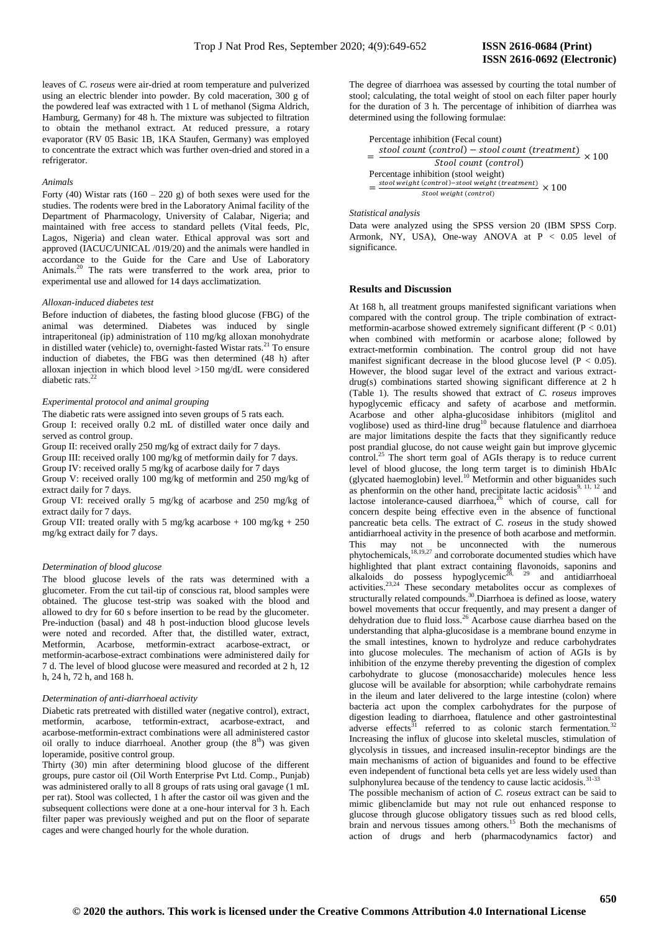leaves of *C. roseus* were air-dried at room temperature and pulverized using an electric blender into powder. By cold maceration, 300 g of the powdered leaf was extracted with 1 L of methanol (Sigma Aldrich, Hamburg, Germany) for 48 h. The mixture was subjected to filtration to obtain the methanol extract. At reduced pressure, a rotary evaporator (RV 05 Basic 1B, 1KA Staufen, Germany) was employed to concentrate the extract which was further oven-dried and stored in a refrigerator.

#### *Animals*

Forty (40) Wistar rats  $(160 - 220$  g) of both sexes were used for the studies. The rodents were bred in the Laboratory Animal facility of the Department of Pharmacology, University of Calabar, Nigeria; and maintained with free access to standard pellets (Vital feeds, Plc, Lagos, Nigeria) and clean water. Ethical approval was sort and approved (IACUC/UNICAL /019/20) and the animals were handled in accordance to the Guide for the Care and Use of Laboratory Animals.<sup>20</sup> The rats were transferred to the work area, prior to experimental use and allowed for 14 days acclimatization.

#### *Alloxan-induced diabetes test*

Before induction of diabetes, the fasting blood glucose (FBG) of the animal was determined. Diabetes was induced by single intraperitoneal (ip) administration of 110 mg/kg alloxan monohydrate in distilled water (vehicle) to, overnight-fasted Wistar rats.<sup>21</sup> To ensure induction of diabetes, the FBG was then determined (48 h) after alloxan injection in which blood level >150 mg/dL were considered diabetic rats.<sup>2</sup>

#### *Experimental protocol and animal grouping*

The diabetic rats were assigned into seven groups of 5 rats each.

Group I: received orally 0.2 mL of distilled water once daily and served as control group.

Group II: received orally 250 mg/kg of extract daily for 7 days.

Group III: received orally 100 mg/kg of metformin daily for 7 days.

Group IV: received orally 5 mg/kg of acarbose daily for 7 days

Group V: received orally 100 mg/kg of metformin and 250 mg/kg of extract daily for 7 days.

Group VI: received orally 5 mg/kg of acarbose and 250 mg/kg of extract daily for 7 days.

Group VII: treated orally with 5 mg/kg acarbose + 100 mg/kg + 250 mg/kg extract daily for 7 days.

#### *Determination of blood glucose*

The blood glucose levels of the rats was determined with a glucometer. From the cut tail-tip of conscious rat, blood samples were obtained. The glucose test-strip was soaked with the blood and allowed to dry for 60 s before insertion to be read by the glucometer. Pre-induction (basal) and 48 h post-induction blood glucose levels were noted and recorded. After that, the distilled water, extract, Metformin, Acarbose, metformin-extract acarbose-extract, or metformin-acarbose-extract combinations were administered daily for 7 d. The level of blood glucose were measured and recorded at 2 h, 12 h, 24 h, 72 h, and 168 h.

## *Determination of anti-diarrhoeal activity*

Diabetic rats pretreated with distilled water (negative control), extract, metformin, acarbose, tetformin-extract, acarbose-extract, and acarbose-metformin-extract combinations were all administered castor oil orally to induce diarrhoeal. Another group (the 8<sup>th</sup>) was given loperamide, positive control group.

Thirty (30) min after determining blood glucose of the different groups, pure castor oil (Oil Worth Enterprise Pvt Ltd. Comp., Punjab) was administered orally to all 8 groups of rats using oral gavage (1 mL per rat). Stool was collected, 1 h after the castor oil was given and the subsequent collections were done at a one-hour interval for 3 h. Each filter paper was previously weighed and put on the floor of separate cages and were changed hourly for the whole duration.

The degree of diarrhoea was assessed by courting the total number of stool; calculating, the total weight of stool on each filter paper hourly for the duration of 3 h. The percentage of inhibition of diarrhea was determined using the following formulae:

| Percentage inhibition (Fecal count)                                         |  |
|-----------------------------------------------------------------------------|--|
| stool count (control) – stool count (treatment)<br>$\frac{1}{2} \times 100$ |  |
| Stool count (control)                                                       |  |
| Percentage inhibition (stool weight)                                        |  |
| stool weight (control)-stool weight (treatment) $\times 100$                |  |
| Stool weight (control)                                                      |  |

*Statistical analysis*

Data were analyzed using the SPSS version 20 (IBM SPSS Corp. Armonk, NY, USA), One-way ANOVA at  $P < 0.05$  level of significance.

## **Results and Discussion**

At 168 h, all treatment groups manifested significant variations when compared with the control group. The triple combination of extractmetformin-acarbose showed extremely significant different (P < 0.01) when combined with metformin or acarbose alone; followed by extract-metformin combination. The control group did not have manifest significant decrease in the blood glucose level ( $P < 0.05$ ). However, the blood sugar level of the extract and various extractdrug(s) combinations started showing significant difference at 2 h (Table 1). The results showed that extract of *C. roseus* improves hypoglycemic efficacy and safety of acarbose and metformin. Acarbose and other alpha-glucosidase inhibitors (miglitol and voglibose) used as third-line drug<sup>10</sup> because flatulence and diarrhoea are major limitations despite the facts that they significantly reduce post prandial glucose, do not cause weight gain but improve glycemic control.<sup>25</sup> The short term goal of AGIs therapy is to reduce current level of blood glucose, the long term target is to diminish HbAIc (glycated haemoglobin) level.<sup>10</sup> Metformin and other biguanides such as phenformin on the other hand, precipitate lactic acidosis<sup>9, 11, 12</sup> and lactose intolerance-caused diarrhoea, $2\overline{6}$  which of course, call for concern despite being effective even in the absence of functional pancreatic beta cells. The extract of *C. roseus* in the study showed antidiarrhoeal activity in the presence of both acarbose and metformin. This may not be unconnected with the numerous phytochemicals,<sup>18,19,27</sup> and corroborate documented studies which have highlighted that plant extract containing flavonoids, saponins and alkaloids do possess hypoglycemic<sup>28, 29</sup> and antidiarrhoeal activities.23,24 These secondary metabolites occur as complexes of structurally related compounds.<sup>30</sup>. Diarrhoea is defined as loose, watery bowel movements that occur frequently, and may present a danger of dehydration due to fluid loss.<sup>26</sup> Acarbose cause diarrhea based on the understanding that alpha-glucosidase is a membrane bound enzyme in the small intestines, known to hydrolyze and reduce carbohydrates into glucose molecules. The mechanism of action of AGIs is by inhibition of the enzyme thereby preventing the digestion of complex carbohydrate to glucose (monosaccharide) molecules hence less glucose will be available for absorption; while carbohydrate remains in the ileum and later delivered to the large intestine (colon) where bacteria act upon the complex carbohydrates for the purpose of digestion leading to diarrhoea, flatulence and other gastrointestinal adverse effects<sup>31</sup> referred to as colonic starch  $\text{fermentation.}^{32}$ Increasing the influx of glucose into skeletal muscles, stimulation of glycolysis in tissues, and increased insulin-receptor bindings are the main mechanisms of action of biguanides and found to be effective even independent of functional beta cells yet are less widely used than sulphonylurea because of the tendency to cause lactic acidosis. $31-33$ 

The possible mechanism of action of *C. roseus* extract can be said to mimic glibenclamide but may not rule out enhanced response to glucose through glucose obligatory tissues such as red blood cells, brain and nervous tissues among others.<sup>15</sup> Both the mechanisms of action of drugs and herb (pharmacodynamics factor) and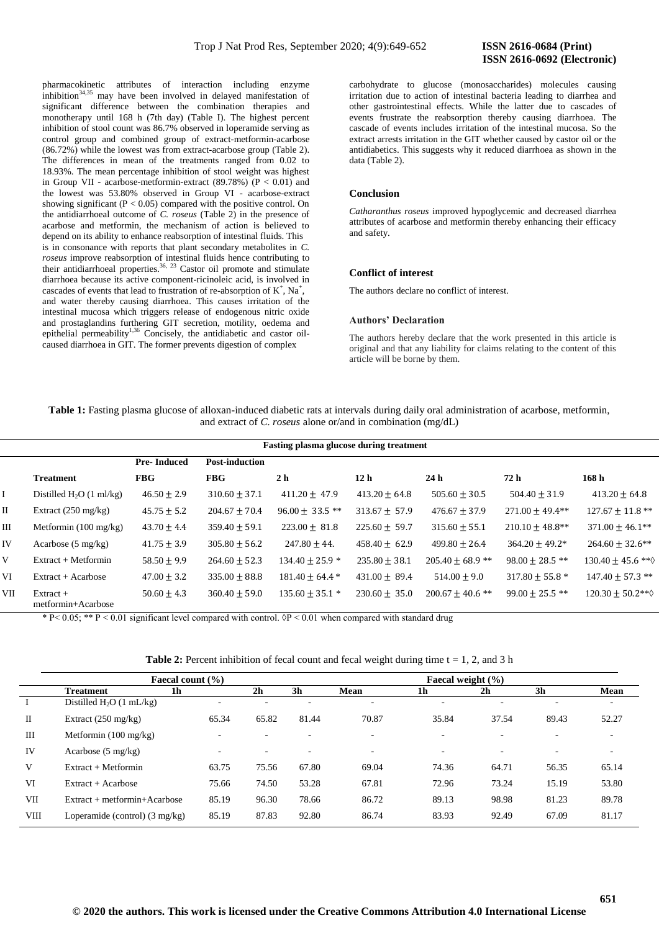pharmacokinetic attributes of interaction including enzyme inhibition<sup>34,35</sup> may have been involved in delayed manifestation of significant difference between the combination therapies and monotherapy until 168 h (7th day) (Table I). The highest percent inhibition of stool count was 86.7% observed in loperamide serving as control group and combined group of extract-metformin-acarbose (86.72%) while the lowest was from extract-acarbose group (Table 2). The differences in mean of the treatments ranged from 0.02 to 18.93%. The mean percentage inhibition of stool weight was highest in Group VII - acarbose-metformin-extract  $(89.78%)$   $(P < 0.01)$  and the lowest was 53.80% observed in Group VI - acarbose-extract showing significant ( $P < 0.05$ ) compared with the positive control. On the antidiarrhoeal outcome of *C. roseus* (Table 2) in the presence of acarbose and metformin, the mechanism of action is believed to depend on its ability to enhance reabsorption of intestinal fluids. This is in consonance with reports that plant secondary metabolites in *C. roseus* improve reabsorption of intestinal fluids hence contributing to their antidiarrhoeal properties. 36, 23 Castor oil promote and stimulate diarrhoea because its active component-ricinoleic acid, is involved in cascades of events that lead to frustration of re-absorption of  $K^+$ , Na<sup>+</sup>, and water thereby causing diarrhoea. This causes irritation of the intestinal mucosa which triggers release of endogenous nitric oxide and prostaglandins furthering GIT secretion, motility, oedema and epithelial permeability<sup>1,36</sup> Concisely, the antidiabetic and castor oilcaused diarrhoea in GIT. The former prevents digestion of complex

carbohydrate to glucose (monosaccharides) molecules causing irritation due to action of intestinal bacteria leading to diarrhea and other gastrointestinal effects. While the latter due to cascades of events frustrate the reabsorption thereby causing diarrhoea. The cascade of events includes irritation of the intestinal mucosa. So the extract arrests irritation in the GIT whether caused by castor oil or the antidiabetics. This suggests why it reduced diarrhoea as shown in the data (Table 2).

### **Conclusion**

*Catharanthus roseus* improved hypoglycemic and decreased diarrhea attributes of acarbose and metformin thereby enhancing their efficacy and safety.

# **Conflict of interest**

The authors declare no conflict of interest.

## **Authors' Declaration**

The authors hereby declare that the work presented in this article is original and that any liability for claims relating to the content of this article will be borne by them.

**Table 1:** Fasting plasma glucose of alloxan-induced diabetic rats at intervals during daily oral administration of acarbose, metformin, and extract of *C. roseus* alone or/and in combination (mg/dL)

|           |                                   |                    |                       | <b>Fasting plasma glucose during treatment</b> |                   |                      |                      |                               |
|-----------|-----------------------------------|--------------------|-----------------------|------------------------------------------------|-------------------|----------------------|----------------------|-------------------------------|
|           |                                   | <b>Pre-Induced</b> | <b>Post-induction</b> |                                                |                   |                      |                      |                               |
|           | <b>Treatment</b>                  | <b>FBG</b>         | <b>FBG</b>            | 2 <sub>h</sub>                                 | 12 <sub>h</sub>   | 24 <sub>h</sub>      | 72 h                 | 168 <sub>h</sub>              |
|           | Distilled $H_2O(1 \text{ ml/kg})$ | $46.50 \pm 2.9$    | $310.60 \pm 37.1$     | $411.20 \pm 47.9$                              | $413.20 \pm 64.8$ | $505.60 \pm 30.5$    | $504.40 \pm 31.9$    | $413.20 \pm 64.8$             |
| $\rm{II}$ | Extract $(250 \text{ mg/kg})$     | $45.75 \pm 5.2$    | $204.67 \pm 70.4$     | $96.00 \pm 33.5$ **                            | $313.67 \pm 57.9$ | $476.67 \pm 37.9$    | $271.00 + 49.4**$    | $127.67 \pm 11.8$ **          |
| Ш         | Metformin $(100 \text{ mg/kg})$   | $43.70 \pm 4.4$    | $359.40 \pm 59.1$     | $223.00 \pm 81.8$                              | $225.60 \pm 59.7$ | $315.60 \pm 55.1$    | $210.10 \pm 48.8$ ** | $371.00 \pm 46.1**$           |
| IV        | Acarbose $(5 \text{ mg/kg})$      | $41.75 \pm 3.9$    | $305.80 \pm 56.2$     | $247.80 + 44.$                                 | $458.40 \pm 62.9$ | $499.80 \pm 26.4$    | $364.20 + 49.2*$     | $264.60 \pm 32.6$ **          |
| V         | $Extract + Metformin$             | $58.50 \pm 9.9$    | $264.60 \pm 52.3$     | $134.40 + 25.9$ *                              | $235.80 + 38.1$   | $205.40 + 68.9$ **   | $98.00 + 28.5$ **    | $130.40 + 45.6$ ** $\diamond$ |
| VI        | $Extract + Acarbose$              | $47.00 \pm 3.2$    | $335.00 + 88.8$       | $181.40 + 64.4*$                               | $431.00 + 89.4$   | $514.00 + 9.0$       | $317.80 + 55.8$ *    | $147.40 + 57.3$ **            |
| VІІ       | $Extract +$<br>metformin+Acarbose | $50.60 \pm 4.3$    | $360.40 \pm 59.0$     | $135.60 \pm 35.1$ *                            | $230.60 \pm 35.0$ | $200.67 \pm 40.6$ ** | $99.00 + 25.5$ **    | $120.30 + 50.2**$             |

\* P < 0.05; \*\* P < 0.01 significant level compared with control.  $\mathcal{P}$  < 0.01 when compared with standard drug

| <b>Table 2:</b> Percent inhibition of fecal count and fecal weight during time $t = 1, 2$ , and 3 h |  |  |  |
|-----------------------------------------------------------------------------------------------------|--|--|--|
|-----------------------------------------------------------------------------------------------------|--|--|--|

|      | Faecal count $(\% )$                     |                          |                |       | Faecal weight $(\% )$    |                          |                          |                |       |
|------|------------------------------------------|--------------------------|----------------|-------|--------------------------|--------------------------|--------------------------|----------------|-------|
|      | 1h<br><b>Treatment</b>                   |                          | 2 <sub>h</sub> | 3h    | Mean                     | 1h                       | 2 <sub>h</sub>           | 3 <sub>h</sub> | Mean  |
|      | Distilled $H_2O(1 \text{ mL/kg})$        | -                        |                |       | $\overline{\phantom{0}}$ |                          |                          |                |       |
| П    | Extract $(250 \text{ mg/kg})$            | 65.34                    | 65.82          | 81.44 | 70.87                    | 35.84                    | 37.54                    | 89.43          | 52.27 |
| Ш    | Metformin $(100 \text{ mg/kg})$          | $\overline{\phantom{a}}$ |                |       | $\overline{\phantom{a}}$ | $\overline{\phantom{0}}$ | $\overline{\phantom{0}}$ |                | -     |
| IV   | Acarbose $(5 \text{ mg/kg})$             | $\overline{\phantom{a}}$ |                | -     | $\overline{\phantom{a}}$ | $\overline{\phantom{0}}$ | $\overline{\phantom{0}}$ |                | -     |
| V    | $Extract + Metformin$                    | 63.75                    | 75.56          | 67.80 | 69.04                    | 74.36                    | 64.71                    | 56.35          | 65.14 |
| VI   | Extract + Acarbose                       | 75.66                    | 74.50          | 53.28 | 67.81                    | 72.96                    | 73.24                    | 15.19          | 53.80 |
| VII  | $Extract + metformin + Acarpose$         | 85.19                    | 96.30          | 78.66 | 86.72                    | 89.13                    | 98.98                    | 81.23          | 89.78 |
| VIII | Loperamide (control) $(3 \text{ mg/kg})$ | 85.19                    | 87.83          | 92.80 | 86.74                    | 83.93                    | 92.49                    | 67.09          | 81.17 |